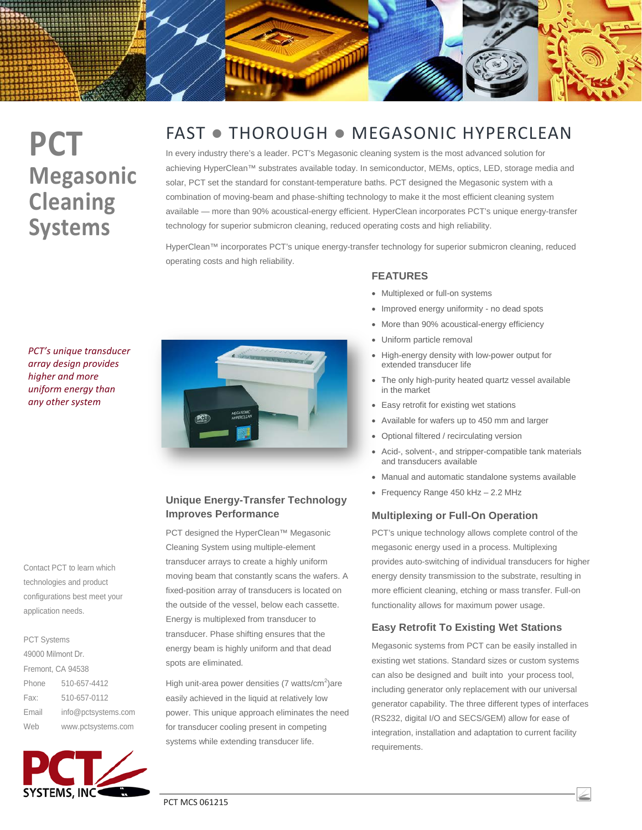# **PCT Megasonic Cleaning Systems**

## FAST • THOROUGH • MEGASONIC HYPERCLEAN

In every industry there's a leader. PCT's Megasonic cleaning system is the most advanced solution for achieving HyperClean™ substrates available today. In semiconductor, MEMs, optics, LED, storage media and solar, PCT set the standard for constant-temperature baths. PCT designed the Megasonic system with a combination of moving-beam and phase-shifting technology to make it the most efficient cleaning system available — more than 90% acoustical-energy efficient. HyperClean incorporates PCT's unique energy-transfer technology for superior submicron cleaning, reduced operating costs and high reliability.

HyperClean™ incorporates PCT's unique energy-transfer technology for superior submicron cleaning, reduced operating costs and high reliability.

*PCT's unique transducer array design provides higher and more uniform energy than any other system*

Contact PCT to learn which technologies and product configurations best meet your application needs.

### PCT Systems

| 49000 Milmont Dr. |                     |
|-------------------|---------------------|
| Fremont, CA 94538 |                     |
| Phone             | 510-657-4412        |
| Fax:              | 510-657-0112        |
| Email             | info@pctsystems.com |
| Web               | www.pctsystems.com  |





#### **Unique Energy-Transfer Technology Improves Performance**

PCT designed the HyperClean™ Megasonic Cleaning System using multiple-element transducer arrays to create a highly uniform moving beam that constantly scans the wafers. A fixed-position array of transducers is located on the outside of the vessel, below each cassette. Energy is multiplexed from transducer to transducer. Phase shifting ensures that the energy beam is highly uniform and that dead spots are eliminated.

High unit-area power densities (7 watts/cm<sup>2</sup>)are easily achieved in the liquid at relatively low power. This unique approach eliminates the need for transducer cooling present in competing systems while extending transducer life.

#### **FEATURES**

- Multiplexed or full-on systems
- Improved energy uniformity no dead spots
- More than 90% acoustical-energy efficiency
- Uniform particle removal
- High-energy density with low-power output for extended transducer life
- The only high-purity heated quartz vessel available in the market
- Easy retrofit for existing wet stations
- Available for wafers up to 450 mm and larger
- Optional filtered / recirculating version
- Acid-, solvent-, and stripper-compatible tank materials and transducers available
- Manual and automatic standalone systems available
- Frequency Range 450 kHz 2.2 MHz

#### **Multiplexing or Full-On Operation**

PCT's unique technology allows complete control of the megasonic energy used in a process. Multiplexing provides auto-switching of individual transducers for higher energy density transmission to the substrate, resulting in more efficient cleaning, etching or mass transfer. Full-on functionality allows for maximum power usage.

#### **Easy Retrofit To Existing Wet Stations**

Megasonic systems from PCT can be easily installed in existing wet stations. Standard sizes or custom systems can also be designed and built into your process tool, including generator only replacement with our universal generator capability. The three different types of interfaces (RS232, digital I/O and SECS/GEM) allow for ease of integration, installation and adaptation to current facility requirements.